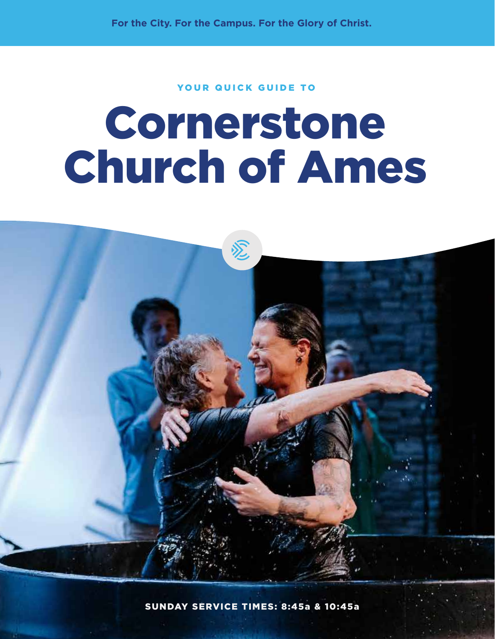**For the City. For the Campus. For the Glory of Christ.**

### YOUR QUICK GUIDE TO

# Cornerstone Church of Ames



SUNDAY SERVICE TIMES: 8:45a & 10:45a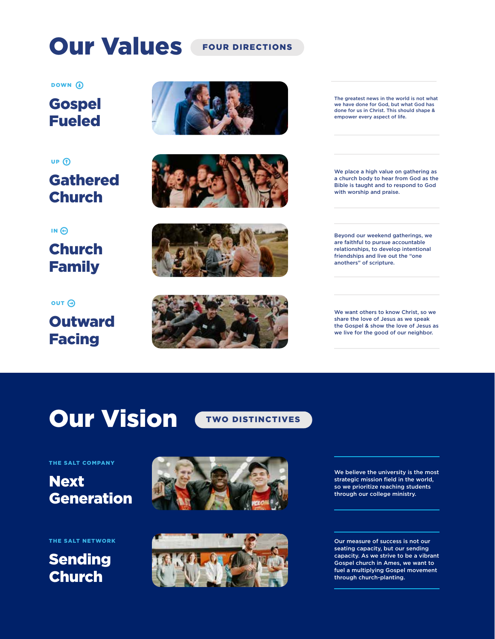## Our Values FOUR DIRECTIONS

**Gospel** Fueled DOWN<sup>O</sup>

**Gathered** Church UP<sub>(1)</sub>

Church Family  $IN<sub>Q</sub>$ 

**Outward** Facing OUT A









The greatest news in the world is not what we have done for God, but what God has done for us in Christ. This should shape & empower every aspect of life.

We place a high value on gathering as a church body to hear from God as the Bible is taught and to respond to God with worship and praise.

Beyond our weekend gatherings, we are faithful to pursue accountable relationships, to develop intentional friendships and live out the "one anothers" of scripture.

We want others to know Christ, so we share the love of Jesus as we speak the Gospel & show the love of Jesus as we live for the good of our neighbor.

## **Our Vision CTWO DISTINCTIVES**



THE SALT COMPANY

## **Next** Generation

THE SALT NETWORK

## Sending Church





We believe the university is the most strategic mission field in the world, so we prioritize reaching students through our college ministry.

Our measure of success is not our seating capacity, but our sending capacity. As we strive to be a vibrant Gospel church in Ames, we want to fuel a multiplying Gospel movement through church-planting.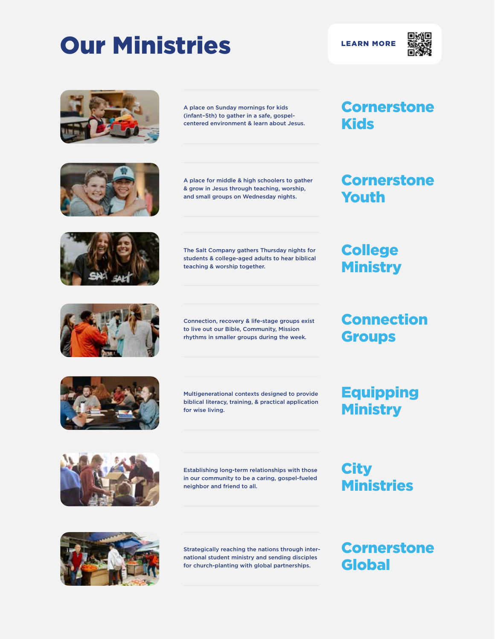## Our Ministries LEARN MORE













A place on Sunday mornings for kids (infant–5th) to gather in a safe, gospelcentered environment & learn about Jesus.

A place for middle & high schoolers to gather & grow in Jesus through teaching, worship, and small groups on Wednesday nights.

The Salt Company gathers Thursday nights for students & college-aged adults to hear biblical teaching & worship together.

Connection, recovery & life-stage groups exist to live out our Bible, Community, Mission rhythms in smaller groups during the week.

Multigenerational contexts designed to provide biblical literacy, training, & practical application for wise living.

### **Cornerstone** Kids

### **Cornerstone** Youth

## **College Ministry**

## Connection **Groups**

Equipping **Ministry** 



Establishing long-term relationships with those in our community to be a caring, gospel-fueled neighbor and friend to all.

**City** Ministries



Strategically reaching the nations through international student ministry and sending disciples for church-planting with global partnerships.

**Cornerstone** Global